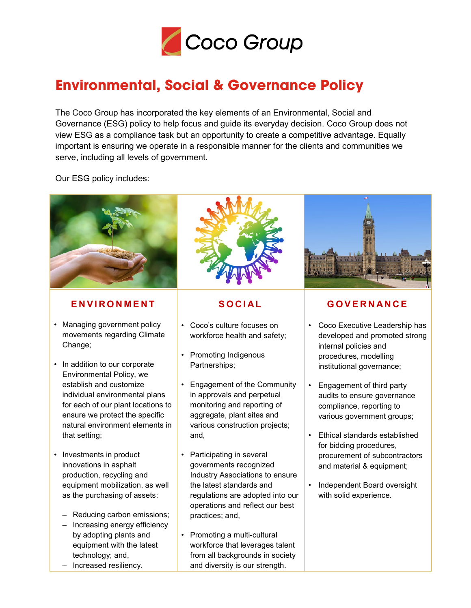

# **Environmental, Social & Governance Policy**

The Coco Group has incorporated the key elements of an Environmental, Social and Governance (ESG) policy to help focus and guide its everyday decision. Coco Group does not view ESG as a compliance task but an opportunity to create a competitive advantage. Equally important is ensuring we operate in a responsible manner for the clients and communities we serve, including all levels of government.

Our ESG policy includes:



#### **ENVIRONMENT**

- Managing government policy movements regarding Climate Change;
- In addition to our corporate Environmental Policy, we establish and customize individual environmental plans for each of our plant locations to ensure we protect the specific natural environment elements in that setting;
- Investments in product innovations in asphalt production, recycling and equipment mobilization, as well as the purchasing of assets:
	- Reducing carbon emissions;
	- Increasing energy efficiency by adopting plants and equipment with the latest technology; and,
	- Increased resiliency.



### **SOCIAL**

- Coco's culture focuses on workforce health and safety;
- Promoting Indigenous Partnerships;
- Engagement of the Community in approvals and perpetual monitoring and reporting of aggregate, plant sites and various construction projects; and,
- Participating in several governments recognized Industry Associations to ensure the latest standards and regulations are adopted into our operations and reflect our best practices; and,
- Promoting a multi-cultural workforce that leverages talent from all backgrounds in society and diversity is our strength.

### **GOVERNANCE**

- Coco Executive Leadership has developed and promoted strong internal policies and procedures, modelling institutional governance;
- Engagement of third party audits to ensure governance compliance, reporting to various government groups;
- Ethical standards established for bidding procedures, procurement of subcontractors and material & equipment;
- Independent Board oversight with solid experience.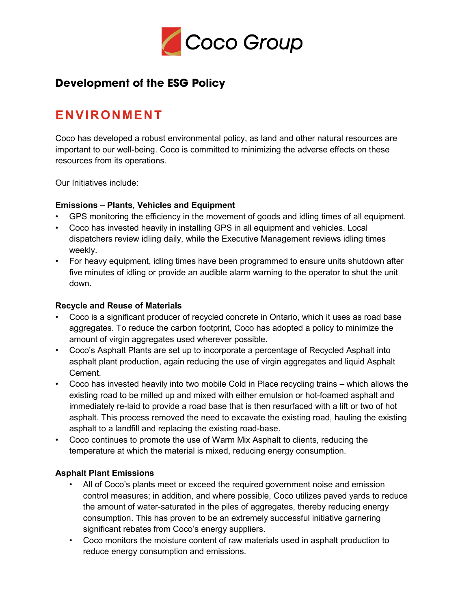

### **Development of the ESG Policy**

## **ENVIRONMENT**

Coco has developed a robust environmental policy, as land and other natural resources are important to our well-being. Coco is committed to minimizing the adverse effects on these resources from its operations.

Our Initiatives include:

#### **Emissions – Plants, Vehicles and Equipment**

- GPS monitoring the efficiency in the movement of goods and idling times of all equipment.
- Coco has invested heavily in installing GPS in all equipment and vehicles. Local dispatchers review idling daily, while the Executive Management reviews idling times weekly.
- For heavy equipment, idling times have been programmed to ensure units shutdown after five minutes of idling or provide an audible alarm warning to the operator to shut the unit down.

#### **Recycle and Reuse of Materials**

- Coco is a significant producer of recycled concrete in Ontario, which it uses as road base aggregates. To reduce the carbon footprint, Coco has adopted a policy to minimize the amount of virgin aggregates used wherever possible.
- Coco's Asphalt Plants are set up to incorporate a percentage of Recycled Asphalt into asphalt plant production, again reducing the use of virgin aggregates and liquid Asphalt Cement.
- Coco has invested heavily into two mobile Cold in Place recycling trains which allows the existing road to be milled up and mixed with either emulsion or hot-foamed asphalt and immediately re-laid to provide a road base that is then resurfaced with a lift or two of hot asphalt. This process removed the need to excavate the existing road, hauling the existing asphalt to a landfill and replacing the existing road-base.
- Coco continues to promote the use of Warm Mix Asphalt to clients, reducing the temperature at which the material is mixed, reducing energy consumption.

#### **Asphalt Plant Emissions**

- All of Coco's plants meet or exceed the required government noise and emission control measures; in addition, and where possible, Coco utilizes paved yards to reduce the amount of water-saturated in the piles of aggregates, thereby reducing energy consumption. This has proven to be an extremely successful initiative garnering significant rebates from Coco's energy suppliers.
- Coco monitors the moisture content of raw materials used in asphalt production to reduce energy consumption and emissions.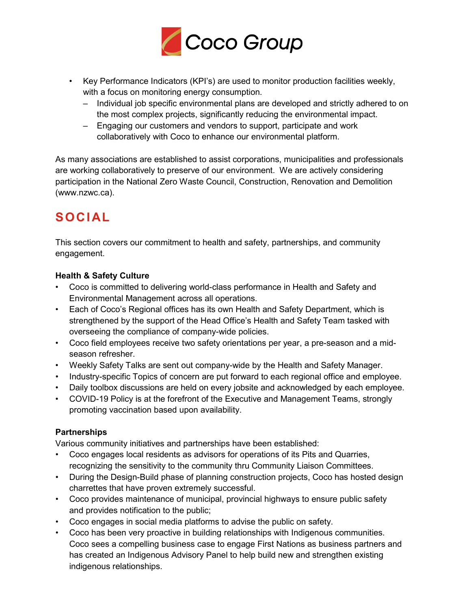

- Key Performance Indicators (KPI's) are used to monitor production facilities weekly, with a focus on monitoring energy consumption.
	- Individual job specific environmental plans are developed and strictly adhered to on the most complex projects, significantly reducing the environmental impact.
	- Engaging our customers and vendors to support, participate and work collaboratively with Coco to enhance our environmental platform.

As many associations are established to assist corporations, municipalities and professionals are working collaboratively to preserve of our environment. We are actively considering participation in the National Zero Waste Council, Construction, Renovation and Demolition (www.nzwc.ca).

# **SOCIAL**

This section covers our commitment to health and safety, partnerships, and community engagement.

#### **Health & Safety Culture**

- Coco is committed to delivering world-class performance in Health and Safety and Environmental Management across all operations.
- Each of Coco's Regional offices has its own Health and Safety Department, which is strengthened by the support of the Head Office's Health and Safety Team tasked with overseeing the compliance of company-wide policies.
- Coco field employees receive two safety orientations per year, a pre-season and a midseason refresher.
- Weekly Safety Talks are sent out company-wide by the Health and Safety Manager.
- Industry-specific Topics of concern are put forward to each regional office and employee.
- Daily toolbox discussions are held on every jobsite and acknowledged by each employee.
- COVID-19 Policy is at the forefront of the Executive and Management Teams, strongly promoting vaccination based upon availability.

#### **Partnerships**

Various community initiatives and partnerships have been established:

- Coco engages local residents as advisors for operations of its Pits and Quarries, recognizing the sensitivity to the community thru Community Liaison Committees.
- During the Design-Build phase of planning construction projects, Coco has hosted design charrettes that have proven extremely successful.
- Coco provides maintenance of municipal, provincial highways to ensure public safety and provides notification to the public;
- Coco engages in social media platforms to advise the public on safety.
- Coco has been very proactive in building relationships with Indigenous communities. Coco sees a compelling business case to engage First Nations as business partners and has created an Indigenous Advisory Panel to help build new and strengthen existing indigenous relationships.